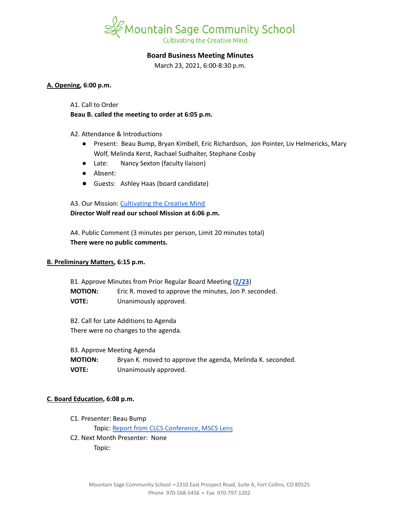

# **Board Business Meeting Minutes**

March 23, 2021, 6:00-8:30 p.m.

#### **A. Opening, 6:00 p.m.**

A1. Call to Order

**Beau B. called the meeting to order at 6:05 p.m.**

A2. Attendance & Introductions

- Present: Beau Bump, Bryan Kimbell, Eric Richardson, Jon Pointer, Liv Helmericks, Mary Wolf, Melinda Kerst, Rachael Sudhalter, Stephane Cosby
- Late: Nancy Sexton (faculty liaison)
- Absent:
- Guests: Ashley Haas (board candidate)

A3. Our Mission: [Cultivating](https://www.mountainsage.org/about-us/mission-and-vision/) the Creative Mind **Director Wolf read our school Mission at 6:06 p.m.**

A4. Public Comment (3 minutes per person, Limit 20 minutes total) **There were no public comments.**

# **B. Preliminary Matters, 6:15 p.m.**

B1. Approve Minutes from Prior Regular Board Meeting (**[2/23](https://docs.google.com/document/d/1CDwh25Wu6fswxQEXNuu7QAPKwOOKEH7lK0syY57Fmzw)**) **MOTION:** Eric R. moved to approve the minutes, Jon P. seconded. **VOTE:** Unanimously approved.

B2. Call for Late Additions to Agenda There were no changes to the agenda.

B3. Approve Meeting Agenda

**MOTION:** Bryan K. moved to approve the agenda, Melinda K. seconded. **VOTE:** Unanimously approved.

# **C. Board Education, 6:08 p.m.**

C1. Presenter: Beau Bump Topic: Report from CLCS [Conference,](https://docs.google.com/document/d/1adf2Wc84fUgW8_y5ESz8NyYE4u3NPCMnRs6XWmyk8bE) MSCS Lens C2. Next Month Presenter: None Topic: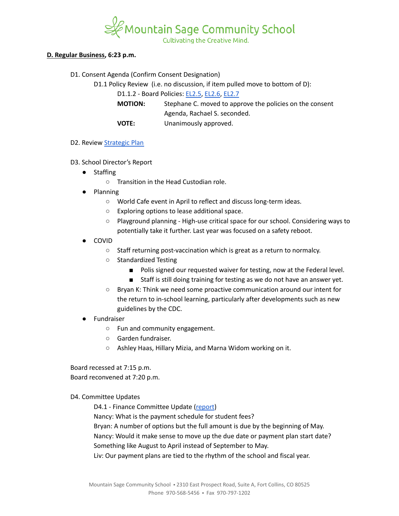

Cultivating the Creative Mind.

### **D. Regular Business, 6:23 p.m.**

D1. Consent Agenda (Confirm Consent Designation)

D1.1 Policy Review (i.e. no discussion, if item pulled move to bottom of D):

D1.1.2 - Board Policies: [EL2.5,](https://docs.google.com/document/d/1nYs8TvRZiMJCIYsfBXl8_YG7hKr1aksmEDiekAFgNk8) [EL2.6](https://docs.google.com/document/d/1oevLXsUA7soeB4_kwDFbjhBLkGQQPsNkIgzLJzFy3cU), [EL2.7](https://docs.google.com/document/d/1pri48vTezgmvyf6oLJZXObuZ68Wf_35LLqKNuTvSG2A)

**MOTION:** Stephane C. moved to approve the policies on the consent Agenda, Rachael S. seconded. **VOTE:** Unanimously approved.

#### D2. Review [Strategic](https://docs.google.com/spreadsheets/d/1ZcsDhIjaJBoVOI2OMPaYkghgZi_yR7rn31ELgbvqf3E/view) Plan

- D3. School Director's Report
	- Staffing
		- Transition in the Head Custodian role.
	- Planning
		- World Cafe event in April to reflect and discuss long-term ideas.
		- Exploring options to lease additional space.
		- Playground planning High-use critical space for our school. Considering ways to potentially take it further. Last year was focused on a safety reboot.
	- **COVID** 
		- Staff returning post-vaccination which is great as a return to normalcy.
		- Standardized Testing
			- Polis signed our requested waiver for testing, now at the Federal level.
			- Staff is still doing training for testing as we do not have an answer yet.
		- Bryan K: Think we need some proactive communication around our intent for the return to in-school learning, particularly after developments such as new guidelines by the CDC.
	- Fundraiser
		- Fun and community engagement.
		- Garden fundraiser.
		- Ashley Haas, Hillary Mizia, and Marna Widom working on it.

Board recessed at 7:15 p.m. Board reconvened at 7:20 p.m.

# D4. Committee Updates

D4.1 - Finance Committee Update ([report](https://docs.google.com/document/d/1D_sSO_R99dK0KU_Nf876UtwfH5RXRgwuuSEkx6E5ne4/edit?usp=sharing))

Nancy: What is the payment schedule for student fees?

Bryan: A number of options but the full amount is due by the beginning of May. Nancy: Would it make sense to move up the due date or payment plan start date? Something like August to April instead of September to May.

Liv: Our payment plans are tied to the rhythm of the school and fiscal year.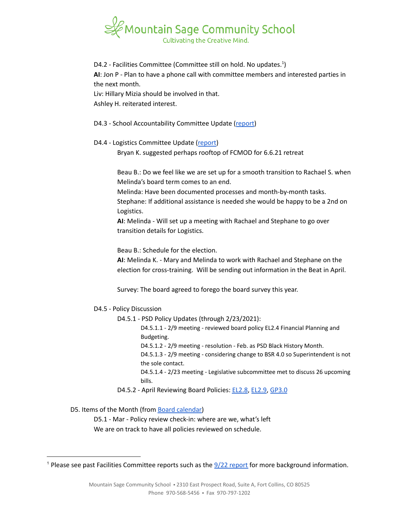

D4.2 - Facilities Committee (Committee still on hold. No updates.<sup>1</sup>) **AI**: Jon P - Plan to have a phone call with committee members and interested parties in the next month. Liv: Hillary Mizia should be involved in that. Ashley H. reiterated interest.

- D4.3 School Accountability Committee Update [\(report](https://docs.google.com/document/d/13F1wKwosJ6EhVw0egmFznb4Ns5Y8cFmZbuk7vQYMoqg/edit?usp=sharing))
- D4.4 Logistics Committee Update ([report](https://docs.google.com/document/d/1dLlFskACmJb_3SmBQONzY_9EhIvlQNYoI1KhozPHaOA/edit?usp=sharing))

Bryan K. suggested perhaps rooftop of FCMOD for 6.6.21 retreat

Beau B.: Do we feel like we are set up for a smooth transition to Rachael S. when Melinda's board term comes to an end.

Melinda: Have been documented processes and month-by-month tasks. Stephane: If additional assistance is needed she would be happy to be a 2nd on Logistics.

**AI**: Melinda - Will set up a meeting with Rachael and Stephane to go over transition details for Logistics.

Beau B.: Schedule for the election.

**AI**: Melinda K. - Mary and Melinda to work with Rachael and Stephane on the election for cross-training. Will be sending out information in the Beat in April.

Survey: The board agreed to forego the board survey this year.

- D4.5 Policy Discussion
	- D4.5.1 PSD Policy Updates (through 2/23/2021):
		- D4.5.1.1 2/9 meeting reviewed board policy EL2.4 Financial Planning and Budgeting.
		- D4.5.1.2 2/9 meeting resolution Feb. as PSD Black History Month.

D4.5.1.3 - 2/9 meeting - considering change to BSR 4.0 so Superintendent is not the sole contact.

D4.5.1.4 - 2/23 meeting - Legislative subcommittee met to discuss 26 upcoming bills.

D4.5.2 - April Reviewing Board Policies: [EL2.8](https://docs.google.com/document/d/1CRy-bV8I9d_GuKcWhyaczopX8vJ8mZXot1zXBJNeNxo), [EL2.9](https://docs.google.com/document/d/1GZEKYwkBDBPrMmiQ4Bl5rLYnctwF_E27ZKu9GYY7lYs), [GP3.0](https://docs.google.com/document/d/1rOOj0tNmvU3l9f7mPNuRgEMOeCeu7x5aFbV8KcULAJ0)

D5. Items of the Month (from Board [calendar\)](https://docs.google.com/document/d/12S6s-qevYMsnj8Cr2yw6uMO7S7hL3gz2oKvXZk5ZndQ/edit?usp=sharing)

D5.1 - Mar - Policy review check-in: where are we, what's left We are on track to have all policies reviewed on schedule.

<sup>&</sup>lt;sup>1</sup> Please see past Facilities Committee [report](https://drive.google.com/file/d/1540MBFX75TZuJkqn_bNtGfqBp400VcC4/view?usp=sharing)s such as the  $\frac{9}{22}$  report for more background information.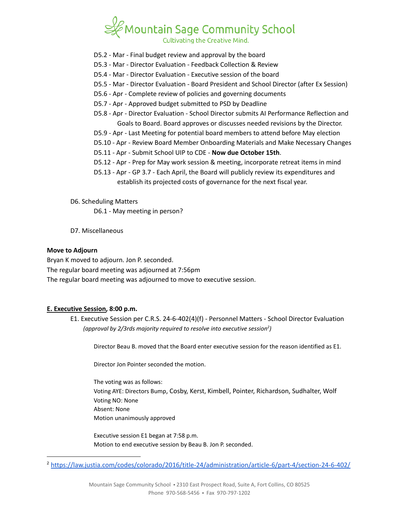

- D5.2 Mar Final budget review and approval by the board
- D5.3 Mar Director Evaluation Feedback Collection & Review
- D5.4 Mar Director Evaluation Executive session of the board
- D5.5 Mar Director Evaluation Board President and School Director (after Ex Session)
- D5.6 Apr Complete review of policies and governing documents
- D5.7 Apr Approved budget submitted to PSD by Deadline
- D5.8 Apr Director Evaluation School Director submits AI Performance Reflection and Goals to Board. Board approves or discusses needed revisions by the Director.
- D5.9 Apr Last Meeting for potential board members to attend before May election
- D5.10 Apr Review Board Member Onboarding Materials and Make Necessary Changes
- D5.11 Apr Submit School UIP to CDE **Now due October 15th**.
- D5.12 Apr Prep for May work session & meeting, incorporate retreat items in mind
- D5.13 Apr GP 3.7 Each April, the Board will publicly review its expenditures and establish its projected costs of governance for the next fiscal year.
- D6. Scheduling Matters
	- D6.1 May meeting in person?
- D7. Miscellaneous

#### **Move to Adjourn**

Bryan K moved to adjourn. Jon P. seconded. The regular board meeting was adjourned at 7:56pm The regular board meeting was adjourned to move to executive session.

#### **E. Executive Session, 8:00 p.m.**

E1. Executive Session per C.R.S. 24-6-402(4)(f) - Personnel Matters - School Director Evaluation *(approval by 2/3rds majority required to resolve into executive session ) 2*

Director Beau B. moved that the Board enter executive session for the reason identified as E1.

Director Jon Pointer seconded the motion.

The voting was as follows: Voting AYE: Directors Bump, Cosby, Kerst, Kimbell, Pointer, Richardson, Sudhalter, Wolf Voting NO: None Absent: None Motion unanimously approved

Executive session E1 began at 7:58 p.m. Motion to end executive session by Beau B. Jon P. seconded.

<sup>2</sup> <https://law.justia.com/codes/colorado/2016/title-24/administration/article-6/part-4/section-24-6-402/>